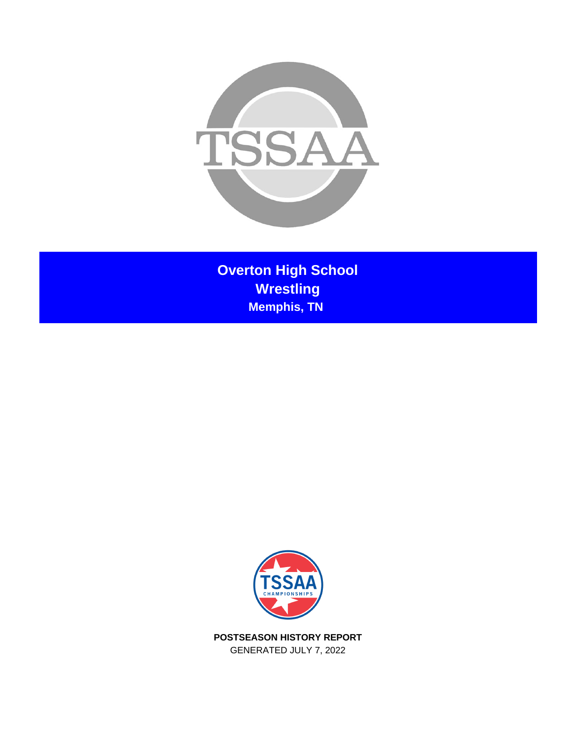

**Overton High School Wrestling Memphis, TN** 



**POSTSEASON HISTORY REPORT** GENERATED JULY 7, 2022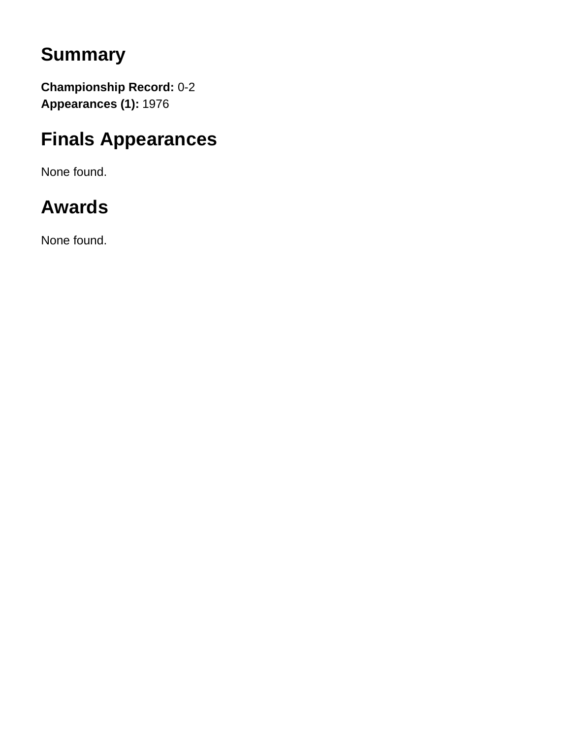# **Summary**

**Championship Record:** 0-2 **Appearances (1):** 1976

# **Finals Appearances**

None found.

# **Awards**

None found.